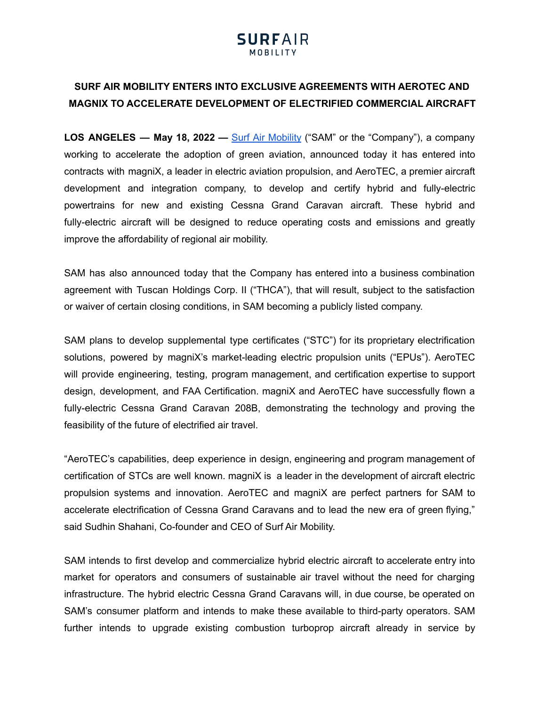#### **SURFAIR MOBILITY**

### **SURF AIR MOBILITY ENTERS INTO EXCLUSIVE AGREEMENTS WITH AEROTEC AND MAGNIX TO ACCELERATE DEVELOPMENT OF ELECTRIFIED COMMERCIAL AIRCRAFT**

**LOS ANGELES — May 18, 2022 —** Surf Air [Mobility](https://www.surfairmobility.com/) ("SAM" or the "Company"), a company working to accelerate the adoption of green aviation, announced today it has entered into contracts with magniX, a leader in electric aviation propulsion, and AeroTEC, a premier aircraft development and integration company, to develop and certify hybrid and fully-electric powertrains for new and existing Cessna Grand Caravan aircraft. These hybrid and fully-electric aircraft will be designed to reduce operating costs and emissions and greatly improve the affordability of regional air mobility.

SAM has also announced today that the Company has entered into a business combination agreement with Tuscan Holdings Corp. II ("THCA"), that will result, subject to the satisfaction or waiver of certain closing conditions, in SAM becoming a publicly listed company.

SAM plans to develop supplemental type certificates ("STC") for its proprietary electrification solutions, powered by magniX's market-leading electric propulsion units ("EPUs"). AeroTEC will provide engineering, testing, program management, and certification expertise to support design, development, and FAA Certification. magniX and AeroTEC have successfully flown a fully-electric Cessna Grand Caravan 208B, demonstrating the technology and proving the feasibility of the future of electrified air travel.

"AeroTEC's capabilities, deep experience in design, engineering and program management of certification of STCs are well known. magniX is a leader in the development of aircraft electric propulsion systems and innovation. AeroTEC and magniX are perfect partners for SAM to accelerate electrification of Cessna Grand Caravans and to lead the new era of green flying," said Sudhin Shahani, Co-founder and CEO of Surf Air Mobility.

SAM intends to first develop and commercialize hybrid electric aircraft to accelerate entry into market for operators and consumers of sustainable air travel without the need for charging infrastructure. The hybrid electric Cessna Grand Caravans will, in due course, be operated on SAM's consumer platform and intends to make these available to third-party operators. SAM further intends to upgrade existing combustion turboprop aircraft already in service by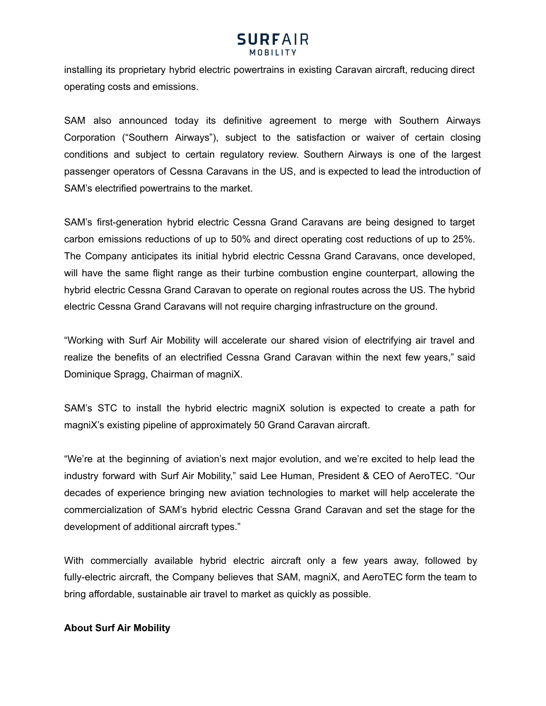installing its proprietary hybrid electric powertrains in existing Caravan aircraft, reducing direct operating costs and emissions.

SAM also announced today its definitive agreement to merge with Southern Airways Corporation ("Southern Airways"), subject to the satisfaction or waiver of certain closing conditions and subject to certain regulatory review. Southern Airways is one of the largest passenger operators of Cessna Caravans in the US, and is expected to lead the introduction of SAM's electrified powertrains to the market.

SAM's first-generation hybrid electric Cessna Grand Caravans are being designed to target carbon emissions reductions of up to 50% and direct operating cost reductions of up to 25%. The Company anticipates its initial hybrid electric Cessna Grand Caravans, once developed, will have the same flight range as their turbine combustion engine counterpart, allowing the hybrid electric Cessna Grand Caravan to operate on regional routes across the US. The hybrid electric Cessna Grand Caravans will not require charging infrastructure on the ground.

"Working with Surf Air Mobility will accelerate our shared vision of electrifying air travel and realize the benefits of an electrified Cessna Grand Caravan within the next few years," said Dominique Spragg, Chairman of magniX.

SAM's STC to install the hybrid electric magniX solution is expected to create a path for magniX's existing pipeline of approximately 50 Grand Caravan aircraft.

"We're at the beginning of aviation's next major evolution, and we're excited to help lead the industry forward with Surf Air Mobility," said Lee Human, President & CEO of AeroTEC. "Our decades of experience bringing new aviation technologies to market will help accelerate the commercialization of SAM's hybrid electric Cessna Grand Caravan and set the stage for the development of additional aircraft types."

With commercially available hybrid electric aircraft only a few years away, followed by fully-electric aircraft, the Company believes that SAM, magniX, and AeroTEC form the team to bring affordable, sustainable air travel to market as quickly as possible.

#### **About Surf Air Mobility**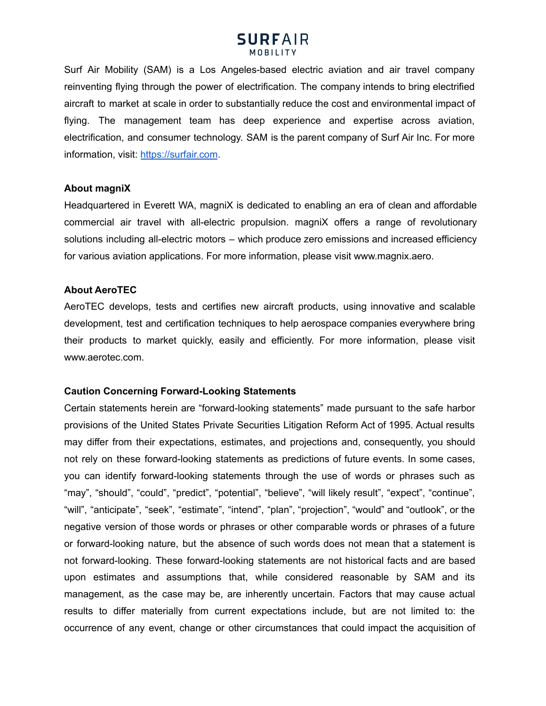Surf Air Mobility (SAM) is a Los Angeles-based electric aviation and air travel company reinventing flying through the power of electrification. The company intends to bring electrified aircraft to market at scale in order to substantially reduce the cost and environmental impact of flying. The management team has deep experience and expertise across aviation, electrification, and consumer technology. SAM is the parent company of Surf Air Inc. For more information, visit: <https://surfair.com>.

#### **About magniX**

Headquartered in Everett WA, magniX is dedicated to enabling an era of clean and affordable commercial air travel with all-electric propulsion. magniX offers a range of revolutionary solutions including all-electric motors – which produce zero emissions and increased efficiency for various aviation applications. For more information, please visit www.magnix.aero.

#### **About AeroTEC**

AeroTEC develops, tests and certifies new aircraft products, using innovative and scalable development, test and certification techniques to help aerospace companies everywhere bring their products to market quickly, easily and efficiently. For more information, please visit www.aerotec.com.

#### **Caution Concerning Forward-Looking Statements**

Certain statements herein are "forward-looking statements" made pursuant to the safe harbor provisions of the United States Private Securities Litigation Reform Act of 1995. Actual results may differ from their expectations, estimates, and projections and, consequently, you should not rely on these forward-looking statements as predictions of future events. In some cases, you can identify forward-looking statements through the use of words or phrases such as "may", "should", "could", "predict", "potential", "believe", "will likely result", "expect", "continue", "will", "anticipate", "seek", "estimate", "intend", "plan", "projection", "would" and "outlook", or the negative version of those words or phrases or other comparable words or phrases of a future or forward-looking nature, but the absence of such words does not mean that a statement is not forward-looking. These forward-looking statements are not historical facts and are based upon estimates and assumptions that, while considered reasonable by SAM and its management, as the case may be, are inherently uncertain. Factors that may cause actual results to differ materially from current expectations include, but are not limited to: the occurrence of any event, change or other circumstances that could impact the acquisition of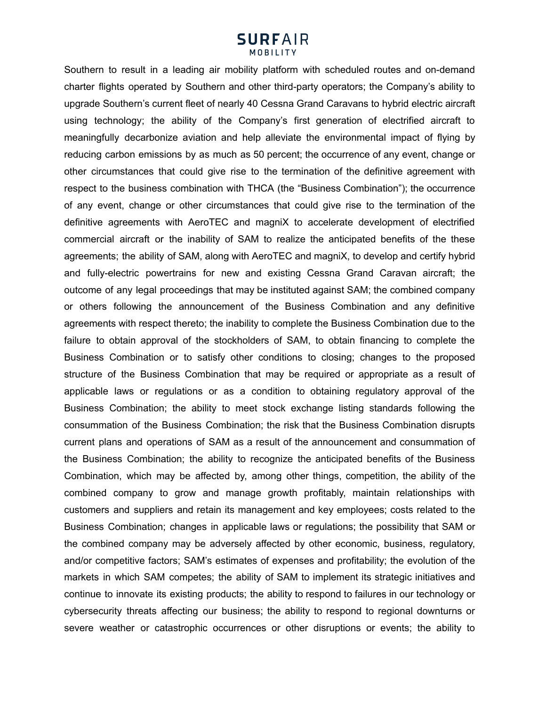Southern to result in a leading air mobility platform with scheduled routes and on-demand charter flights operated by Southern and other third-party operators; the Company's ability to upgrade Southern's current fleet of nearly 40 Cessna Grand Caravans to hybrid electric aircraft using technology; the ability of the Company's first generation of electrified aircraft to meaningfully decarbonize aviation and help alleviate the environmental impact of flying by reducing carbon emissions by as much as 50 percent; the occurrence of any event, change or other circumstances that could give rise to the termination of the definitive agreement with respect to the business combination with THCA (the "Business Combination"); the occurrence of any event, change or other circumstances that could give rise to the termination of the definitive agreements with AeroTEC and magniX to accelerate development of electrified commercial aircraft or the inability of SAM to realize the anticipated benefits of the these agreements; the ability of SAM, along with AeroTEC and magniX, to develop and certify hybrid and fully-electric powertrains for new and existing Cessna Grand Caravan aircraft; the outcome of any legal proceedings that may be instituted against SAM; the combined company or others following the announcement of the Business Combination and any definitive agreements with respect thereto; the inability to complete the Business Combination due to the failure to obtain approval of the stockholders of SAM, to obtain financing to complete the Business Combination or to satisfy other conditions to closing; changes to the proposed structure of the Business Combination that may be required or appropriate as a result of applicable laws or regulations or as a condition to obtaining regulatory approval of the Business Combination; the ability to meet stock exchange listing standards following the consummation of the Business Combination; the risk that the Business Combination disrupts current plans and operations of SAM as a result of the announcement and consummation of the Business Combination; the ability to recognize the anticipated benefits of the Business Combination, which may be affected by, among other things, competition, the ability of the combined company to grow and manage growth profitably, maintain relationships with customers and suppliers and retain its management and key employees; costs related to the Business Combination; changes in applicable laws or regulations; the possibility that SAM or the combined company may be adversely affected by other economic, business, regulatory, and/or competitive factors; SAM's estimates of expenses and profitability; the evolution of the markets in which SAM competes; the ability of SAM to implement its strategic initiatives and continue to innovate its existing products; the ability to respond to failures in our technology or cybersecurity threats affecting our business; the ability to respond to regional downturns or severe weather or catastrophic occurrences or other disruptions or events; the ability to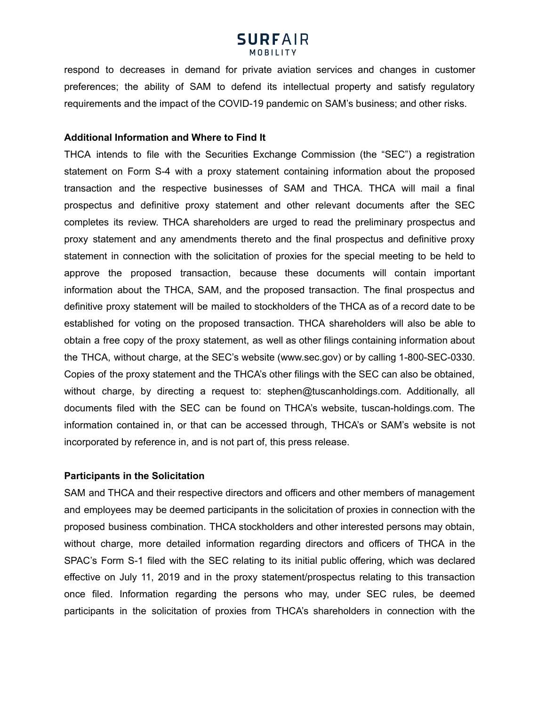respond to decreases in demand for private aviation services and changes in customer preferences; the ability of SAM to defend its intellectual property and satisfy regulatory requirements and the impact of the COVID-19 pandemic on SAM's business; and other risks.

#### **Additional Information and Where to Find It**

THCA intends to file with the Securities Exchange Commission (the "SEC") a registration statement on Form S-4 with a proxy statement containing information about the proposed transaction and the respective businesses of SAM and THCA. THCA will mail a final prospectus and definitive proxy statement and other relevant documents after the SEC completes its review. THCA shareholders are urged to read the preliminary prospectus and proxy statement and any amendments thereto and the final prospectus and definitive proxy statement in connection with the solicitation of proxies for the special meeting to be held to approve the proposed transaction, because these documents will contain important information about the THCA, SAM, and the proposed transaction. The final prospectus and definitive proxy statement will be mailed to stockholders of the THCA as of a record date to be established for voting on the proposed transaction. THCA shareholders will also be able to obtain a free copy of the proxy statement, as well as other filings containing information about the THCA, without charge, at the SEC's website (www.sec.gov) or by calling 1-800-SEC-0330. Copies of the proxy statement and the THCA's other filings with the SEC can also be obtained, without charge, by directing a request to: stephen@tuscanholdings.com. Additionally, all documents filed with the SEC can be found on THCA's website, [tuscan-holdings.com](http://tuscan-holdings.com/). The information contained in, or that can be accessed through, THCA's or SAM's website is not incorporated by reference in, and is not part of, this press release.

#### **Participants in the Solicitation**

SAM and THCA and their respective directors and officers and other members of management and employees may be deemed participants in the solicitation of proxies in connection with the proposed business combination. THCA stockholders and other interested persons may obtain, without charge, more detailed information regarding directors and officers of THCA in the SPAC's Form S-1 filed with the SEC relating to its initial public offering, which was declared effective on July 11, 2019 and in the proxy statement/prospectus relating to this transaction once filed. Information regarding the persons who may, under SEC rules, be deemed participants in the solicitation of proxies from THCA's shareholders in connection with the